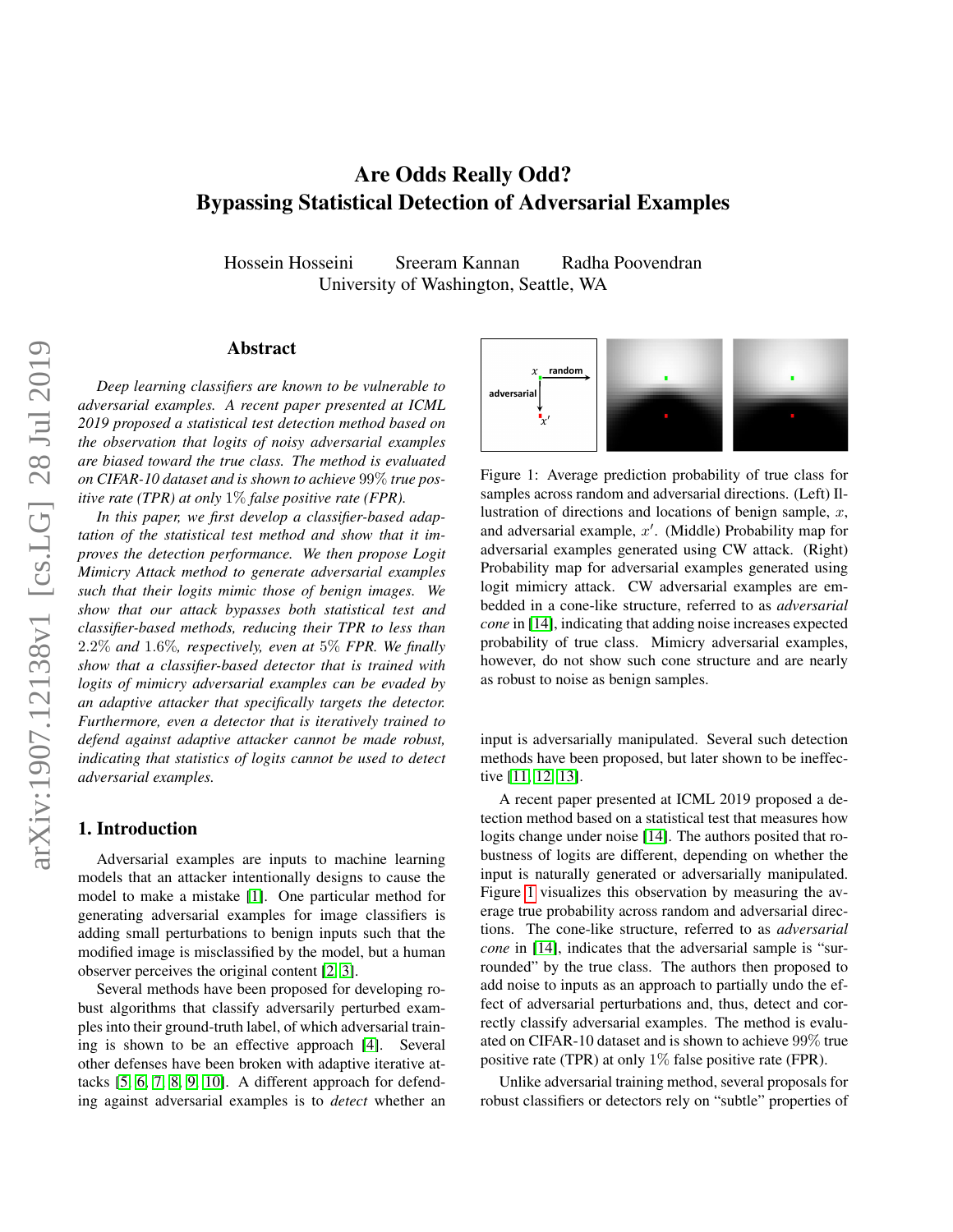# Are Odds Really Odd? Bypassing Statistical Detection of Adversarial Examples

Hossein Hosseini Sreeram Kannan Radha Poovendran University of Washington, Seattle, WA

# Abstract

*Deep learning classifiers are known to be vulnerable to adversarial examples. A recent paper presented at ICML 2019 proposed a statistical test detection method based on the observation that logits of noisy adversarial examples are biased toward the true class. The method is evaluated on CIFAR-10 dataset and is shown to achieve* 99% *true positive rate (TPR) at only* 1% *false positive rate (FPR).*

*In this paper, we first develop a classifier-based adaptation of the statistical test method and show that it improves the detection performance. We then propose Logit Mimicry Attack method to generate adversarial examples such that their logits mimic those of benign images. We show that our attack bypasses both statistical test and classifier-based methods, reducing their TPR to less than* 2.2% *and* 1.6%*, respectively, even at* 5% *FPR. We finally show that a classifier-based detector that is trained with logits of mimicry adversarial examples can be evaded by an adaptive attacker that specifically targets the detector. Furthermore, even a detector that is iteratively trained to defend against adaptive attacker cannot be made robust, indicating that statistics of logits cannot be used to detect adversarial examples.*

# 1. Introduction

Adversarial examples are inputs to machine learning models that an attacker intentionally designs to cause the model to make a mistake [\[1\]](#page-6-0). One particular method for generating adversarial examples for image classifiers is adding small perturbations to benign inputs such that the modified image is misclassified by the model, but a human observer perceives the original content [\[2,](#page-6-1) [3\]](#page-6-2).

Several methods have been proposed for developing robust algorithms that classify adversarily perturbed examples into their ground-truth label, of which adversarial training is shown to be an effective approach [\[4\]](#page-6-3). Several other defenses have been broken with adaptive iterative attacks [\[5,](#page-6-4) [6,](#page-6-5) [7,](#page-6-6) [8,](#page-6-7) [9,](#page-6-8) [10\]](#page-6-9). A different approach for defending against adversarial examples is to *detect* whether an

<span id="page-0-0"></span>

Figure 1: Average prediction probability of true class for samples across random and adversarial directions. (Left) Illustration of directions and locations of benign sample,  $x$ , and adversarial example,  $x'$ . (Middle) Probability map for adversarial examples generated using CW attack. (Right) Probability map for adversarial examples generated using logit mimicry attack. CW adversarial examples are embedded in a cone-like structure, referred to as *adversarial cone* in [\[14\]](#page-6-10), indicating that adding noise increases expected probability of true class. Mimicry adversarial examples, however, do not show such cone structure and are nearly as robust to noise as benign samples.

input is adversarially manipulated. Several such detection methods have been proposed, but later shown to be ineffective [\[11,](#page-6-11) [12,](#page-6-12) [13\]](#page-6-13).

A recent paper presented at ICML 2019 proposed a detection method based on a statistical test that measures how logits change under noise [\[14\]](#page-6-10). The authors posited that robustness of logits are different, depending on whether the input is naturally generated or adversarially manipulated. Figure [1](#page-0-0) visualizes this observation by measuring the average true probability across random and adversarial directions. The cone-like structure, referred to as *adversarial cone* in [\[14\]](#page-6-10), indicates that the adversarial sample is "surrounded" by the true class. The authors then proposed to add noise to inputs as an approach to partially undo the effect of adversarial perturbations and, thus, detect and correctly classify adversarial examples. The method is evaluated on CIFAR-10 dataset and is shown to achieve 99% true positive rate (TPR) at only 1% false positive rate (FPR).

Unlike adversarial training method, several proposals for robust classifiers or detectors rely on "subtle" properties of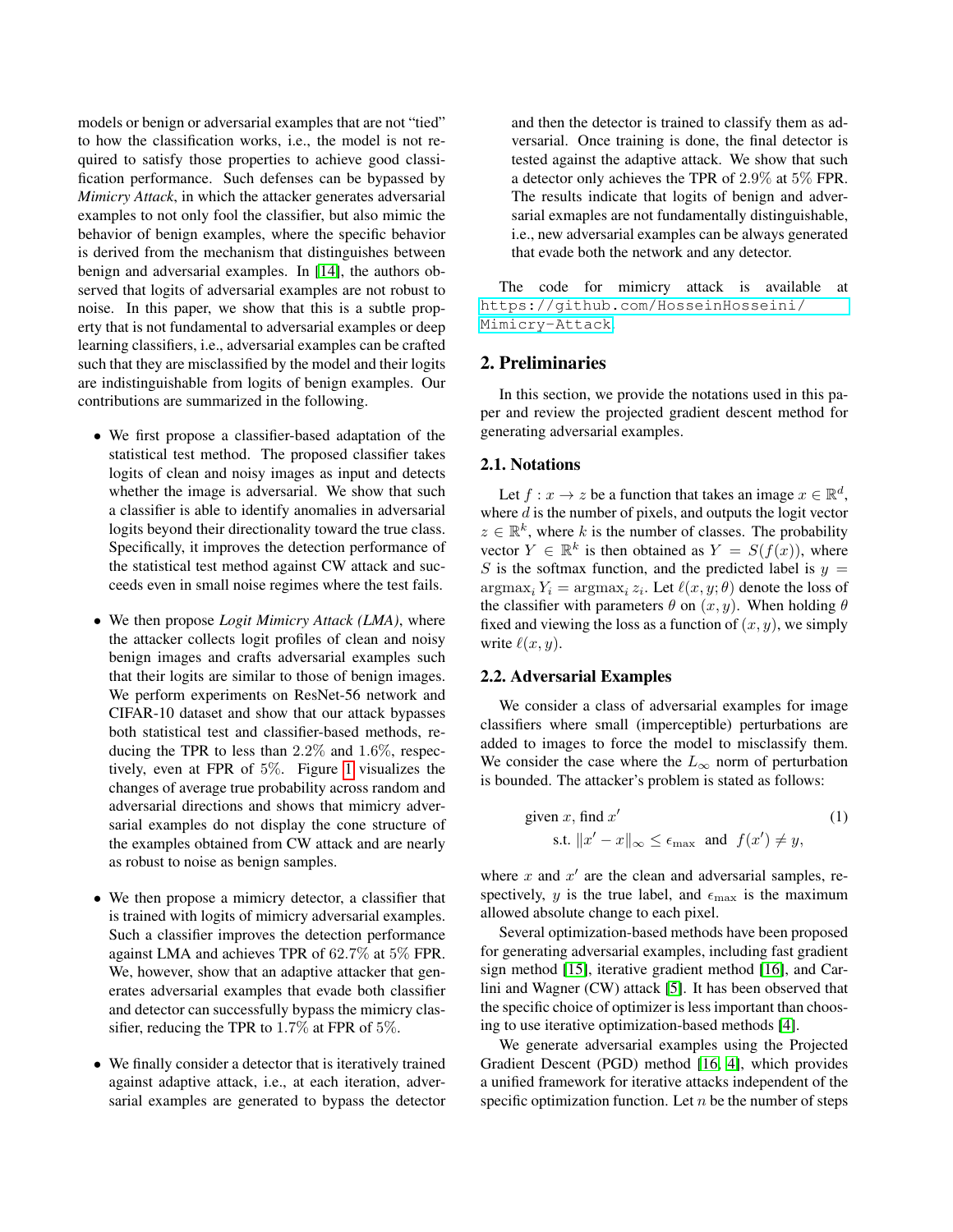models or benign or adversarial examples that are not "tied" to how the classification works, i.e., the model is not required to satisfy those properties to achieve good classification performance. Such defenses can be bypassed by *Mimicry Attack*, in which the attacker generates adversarial examples to not only fool the classifier, but also mimic the behavior of benign examples, where the specific behavior is derived from the mechanism that distinguishes between benign and adversarial examples. In [\[14\]](#page-6-10), the authors observed that logits of adversarial examples are not robust to noise. In this paper, we show that this is a subtle property that is not fundamental to adversarial examples or deep learning classifiers, i.e., adversarial examples can be crafted such that they are misclassified by the model and their logits are indistinguishable from logits of benign examples. Our contributions are summarized in the following.

- We first propose a classifier-based adaptation of the statistical test method. The proposed classifier takes logits of clean and noisy images as input and detects whether the image is adversarial. We show that such a classifier is able to identify anomalies in adversarial logits beyond their directionality toward the true class. Specifically, it improves the detection performance of the statistical test method against CW attack and succeeds even in small noise regimes where the test fails.
- We then propose *Logit Mimicry Attack (LMA)*, where the attacker collects logit profiles of clean and noisy benign images and crafts adversarial examples such that their logits are similar to those of benign images. We perform experiments on ResNet-56 network and CIFAR-10 dataset and show that our attack bypasses both statistical test and classifier-based methods, reducing the TPR to less than 2.2% and 1.6%, respectively, even at FPR of 5%. Figure [1](#page-0-0) visualizes the changes of average true probability across random and adversarial directions and shows that mimicry adversarial examples do not display the cone structure of the examples obtained from CW attack and are nearly as robust to noise as benign samples.
- We then propose a mimicry detector, a classifier that is trained with logits of mimicry adversarial examples. Such a classifier improves the detection performance against LMA and achieves TPR of 62.7% at 5% FPR. We, however, show that an adaptive attacker that generates adversarial examples that evade both classifier and detector can successfully bypass the mimicry classifier, reducing the TPR to 1.7% at FPR of 5%.
- We finally consider a detector that is iteratively trained against adaptive attack, i.e., at each iteration, adversarial examples are generated to bypass the detector

and then the detector is trained to classify them as adversarial. Once training is done, the final detector is tested against the adaptive attack. We show that such a detector only achieves the TPR of 2.9% at 5% FPR. The results indicate that logits of benign and adversarial exmaples are not fundamentally distinguishable, i.e., new adversarial examples can be always generated that evade both the network and any detector.

The code for mimicry attack is available at [https://github.com/HosseinHosseini/](https://github.com/HosseinHosseini/Mimicry-Attack) [Mimicry-Attack](https://github.com/HosseinHosseini/Mimicry-Attack).

# 2. Preliminaries

In this section, we provide the notations used in this paper and review the projected gradient descent method for generating adversarial examples.

## 2.1. Notations

Let  $f: x \to z$  be a function that takes an image  $x \in \mathbb{R}^d$ , where  $d$  is the number of pixels, and outputs the logit vector  $z \in \mathbb{R}^k$ , where k is the number of classes. The probability vector  $Y \in \mathbb{R}^k$  is then obtained as  $Y = S(f(x))$ , where S is the softmax function, and the predicted label is  $y =$  $\argmax_i Y_i = \argmax_i z_i$ . Let  $\ell(x, y; \theta)$  denote the loss of the classifier with parameters  $\theta$  on  $(x, y)$ . When holding  $\theta$ fixed and viewing the loss as a function of  $(x, y)$ , we simply write  $\ell(x, y)$ .

#### 2.2. Adversarial Examples

We consider a class of adversarial examples for image classifiers where small (imperceptible) perturbations are added to images to force the model to misclassify them. We consider the case where the  $L_{\infty}$  norm of perturbation is bounded. The attacker's problem is stated as follows:

given x, find x'   
 s.t. 
$$
||x' - x||_{\infty} \le \epsilon_{\max}
$$
 and  $f(x') \neq y$ ,   
(1)

where  $x$  and  $x'$  are the clean and adversarial samples, respectively, y is the true label, and  $\epsilon_{\text{max}}$  is the maximum allowed absolute change to each pixel.

Several optimization-based methods have been proposed for generating adversarial examples, including fast gradient sign method [\[15\]](#page-6-14), iterative gradient method [\[16\]](#page-7-0), and Carlini and Wagner (CW) attack [\[5\]](#page-6-4). It has been observed that the specific choice of optimizer is less important than choosing to use iterative optimization-based methods [\[4\]](#page-6-3).

We generate adversarial examples using the Projected Gradient Descent (PGD) method [\[16,](#page-7-0) [4\]](#page-6-3), which provides a unified framework for iterative attacks independent of the specific optimization function. Let  $n$  be the number of steps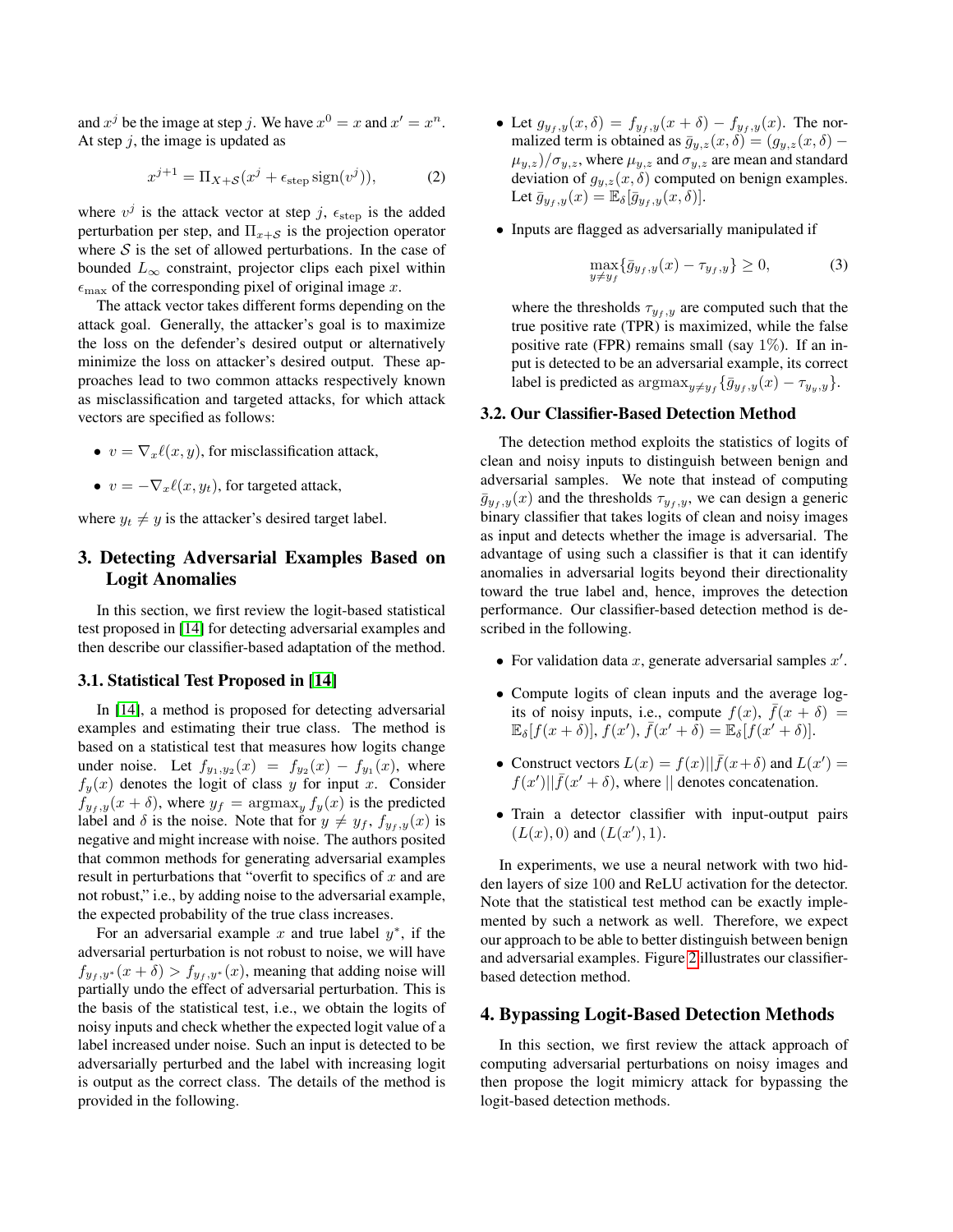and  $x^j$  be the image at step j. We have  $x^0 = x$  and  $x' = x^n$ . At step  $j$ , the image is updated as

$$
x^{j+1} = \Pi_{X+S}(x^j + \epsilon_{\text{step}} \operatorname{sign}(v^j)),\tag{2}
$$

where  $v^j$  is the attack vector at step j,  $\epsilon_{\text{step}}$  is the added perturbation per step, and  $\Pi_{x+\mathcal{S}}$  is the projection operator where  $S$  is the set of allowed perturbations. In the case of bounded  $L_{\infty}$  constraint, projector clips each pixel within  $\epsilon_{\text{max}}$  of the corresponding pixel of original image x.

The attack vector takes different forms depending on the attack goal. Generally, the attacker's goal is to maximize the loss on the defender's desired output or alternatively minimize the loss on attacker's desired output. These approaches lead to two common attacks respectively known as misclassification and targeted attacks, for which attack vectors are specified as follows:

- $v = \nabla_x \ell(x, y)$ , for misclassification attack,
- $v = -\nabla_x \ell(x, y_t)$ , for targeted attack,

where  $y_t \neq y$  is the attacker's desired target label.

# 3. Detecting Adversarial Examples Based on Logit Anomalies

In this section, we first review the logit-based statistical test proposed in [\[14\]](#page-6-10) for detecting adversarial examples and then describe our classifier-based adaptation of the method.

#### 3.1. Statistical Test Proposed in [\[14\]](#page-6-10)

In [\[14\]](#page-6-10), a method is proposed for detecting adversarial examples and estimating their true class. The method is based on a statistical test that measures how logits change under noise. Let  $f_{y_1,y_2}(x) = f_{y_2}(x) - f_{y_1}(x)$ , where  $f_y(x)$  denotes the logit of class y for input x. Consider  $f_{y_f,y}(x + \delta)$ , where  $y_f = \argmax_y f_y(x)$  is the predicted label and  $\delta$  is the noise. Note that for  $y \neq y_f$ ,  $f_{y_f, y}(x)$  is negative and might increase with noise. The authors posited that common methods for generating adversarial examples result in perturbations that "overfit to specifics of  $x$  and are not robust," i.e., by adding noise to the adversarial example, the expected probability of the true class increases.

For an adversarial example x and true label  $y^*$ , if the adversarial perturbation is not robust to noise, we will have  $f_{y_f, y^*}(x + \delta) > f_{y_f, y^*}(x)$ , meaning that adding noise will partially undo the effect of adversarial perturbation. This is the basis of the statistical test, i.e., we obtain the logits of noisy inputs and check whether the expected logit value of a label increased under noise. Such an input is detected to be adversarially perturbed and the label with increasing logit is output as the correct class. The details of the method is provided in the following.

- Let  $g_{y_f,y}(x,\delta) = f_{y_f,y}(x+\delta) f_{y_f,y}(x)$ . The normalized term is obtained as  $\bar{g}_{y,z}(x, \delta) = (g_{y,z}(x, \delta) (\mu_{y,z})/\sigma_{y,z}$ , where  $\mu_{y,z}$  and  $\sigma_{y,z}$  are mean and standard deviation of  $g_{y,z}(x, \delta)$  computed on benign examples. Let  $\bar{g}_{y_f,y}(x) = \mathbb{E}_{\delta}[\bar{g}_{y_f,y}(x,\delta)].$
- Inputs are flagged as adversarially manipulated if

$$
\max_{y \neq y_f} \{ \bar{g}_{y_f, y}(x) - \tau_{y_f, y} \} \ge 0,\tag{3}
$$

where the thresholds  $\tau_{y_f, y}$  are computed such that the true positive rate (TPR) is maximized, while the false positive rate (FPR) remains small (say  $1\%$ ). If an input is detected to be an adversarial example, its correct label is predicted as  $\operatorname{argmax}_{y \neq y_f} {\{\overline{g}_{y_f, y}(x) - \tau_{y_y, y}\}}.$ 

#### <span id="page-2-0"></span>3.2. Our Classifier-Based Detection Method

The detection method exploits the statistics of logits of clean and noisy inputs to distinguish between benign and adversarial samples. We note that instead of computing  $\bar{g}_{y_f,y}(x)$  and the thresholds  $\tau_{y_f,y}$ , we can design a generic binary classifier that takes logits of clean and noisy images as input and detects whether the image is adversarial. The advantage of using such a classifier is that it can identify anomalies in adversarial logits beyond their directionality toward the true label and, hence, improves the detection performance. Our classifier-based detection method is described in the following.

- For validation data  $x$ , generate adversarial samples  $x'$ .
- Compute logits of clean inputs and the average logits of noisy inputs, i.e., compute  $f(x)$ ,  $\bar{f}(x + \delta) =$  $\mathbb{E}_{\delta}[f(x+\delta)],\overline{f}(x'),\overline{f}(x'+\delta)=\mathbb{E}_{\delta}[f(x'+\delta)].$
- Construct vectors  $L(x) = f(x) || \bar{f}(x+\delta)$  and  $L(x') =$  $f(x')$   $|| \bar{f}(x' + \delta)$ , where  $||$  denotes concatenation.
- Train a detector classifier with input-output pairs  $(L(x), 0)$  and  $(L(x'), 1)$ .

In experiments, we use a neural network with two hidden layers of size 100 and ReLU activation for the detector. Note that the statistical test method can be exactly implemented by such a network as well. Therefore, we expect our approach to be able to better distinguish between benign and adversarial examples. Figure [2](#page-3-0) illustrates our classifierbased detection method.

#### 4. Bypassing Logit-Based Detection Methods

In this section, we first review the attack approach of computing adversarial perturbations on noisy images and then propose the logit mimicry attack for bypassing the logit-based detection methods.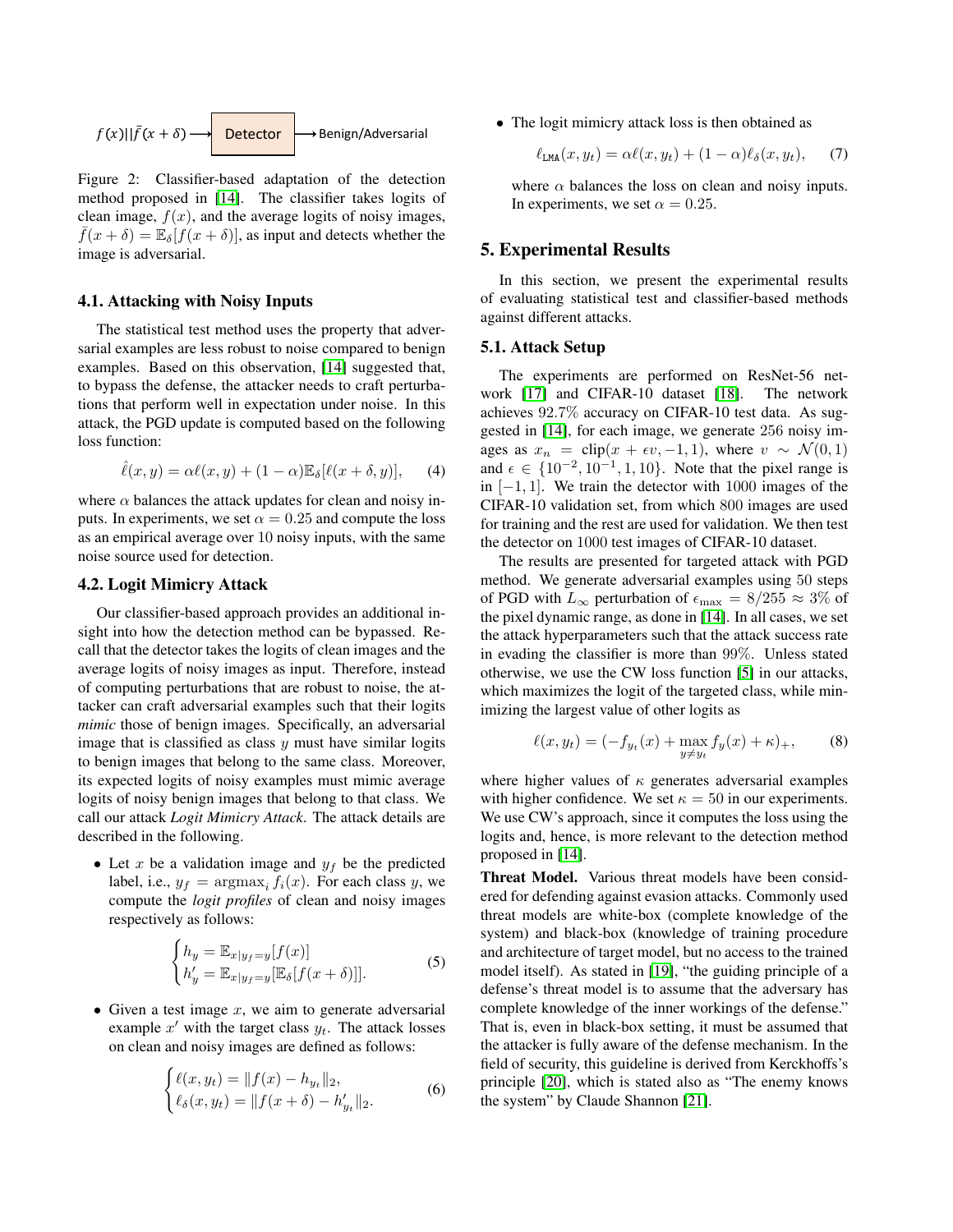<span id="page-3-0"></span>
$$
f(x)||\bar{f}(x+\delta) \longrightarrow
$$
 **Detector**  $\longrightarrow$  Benjamin/Adversarial

Figure 2: Classifier-based adaptation of the detection method proposed in [\[14\]](#page-6-10). The classifier takes logits of clean image,  $f(x)$ , and the average logits of noisy images,  $\overline{f}(x + \delta) = \mathbb{E}_{\delta}[f(x + \delta)],$  as input and detects whether the image is adversarial.

#### 4.1. Attacking with Noisy Inputs

The statistical test method uses the property that adversarial examples are less robust to noise compared to benign examples. Based on this observation, [\[14\]](#page-6-10) suggested that, to bypass the defense, the attacker needs to craft perturbations that perform well in expectation under noise. In this attack, the PGD update is computed based on the following loss function:

$$
\hat{\ell}(x, y) = \alpha \ell(x, y) + (1 - \alpha) \mathbb{E}_{\delta} [\ell(x + \delta, y)], \quad (4)
$$

where  $\alpha$  balances the attack updates for clean and noisy inputs. In experiments, we set  $\alpha = 0.25$  and compute the loss as an empirical average over 10 noisy inputs, with the same noise source used for detection.

#### 4.2. Logit Mimicry Attack

Our classifier-based approach provides an additional insight into how the detection method can be bypassed. Recall that the detector takes the logits of clean images and the average logits of noisy images as input. Therefore, instead of computing perturbations that are robust to noise, the attacker can craft adversarial examples such that their logits *mimic* those of benign images. Specifically, an adversarial image that is classified as class  $y$  must have similar logits to benign images that belong to the same class. Moreover, its expected logits of noisy examples must mimic average logits of noisy benign images that belong to that class. We call our attack *Logit Mimicry Attack*. The attack details are described in the following.

• Let x be a validation image and  $y_f$  be the predicted label, i.e.,  $y_f = \argmax_i f_i(x)$ . For each class y, we compute the *logit profiles* of clean and noisy images respectively as follows:

$$
\begin{cases} h_y = \mathbb{E}_{x|y_f=y}[f(x)] \\ h'_y = \mathbb{E}_{x|y_f=y}[\mathbb{E}_{\delta}[f(x+\delta)]]. \end{cases}
$$
 (5)

• Given a test image  $x$ , we aim to generate adversarial example  $x'$  with the target class  $y_t$ . The attack losses on clean and noisy images are defined as follows:

$$
\begin{cases} \ell(x, y_t) = \|f(x) - h_{y_t}\|_2, \\ \ell_{\delta}(x, y_t) = \|f(x + \delta) - h'_{y_t}\|_2. \end{cases}
$$
 (6)

• The logit mimicry attack loss is then obtained as

<span id="page-3-1"></span>
$$
\ell_{\text{LMA}}(x, y_t) = \alpha \ell(x, y_t) + (1 - \alpha) \ell_{\delta}(x, y_t), \quad (7)
$$

where  $\alpha$  balances the loss on clean and noisy inputs. In experiments, we set  $\alpha = 0.25$ .

## 5. Experimental Results

In this section, we present the experimental results of evaluating statistical test and classifier-based methods against different attacks.

#### 5.1. Attack Setup

The experiments are performed on ResNet-56 network [\[17\]](#page-7-1) and CIFAR-10 dataset [\[18\]](#page-7-2). The network achieves 92.7% accuracy on CIFAR-10 test data. As suggested in [\[14\]](#page-6-10), for each image, we generate 256 noisy images as  $x_n = \text{clip}(x + \epsilon v, -1, 1)$ , where  $v \sim \mathcal{N}(0, 1)$ and  $\epsilon \in \{10^{-2}, 10^{-1}, 1, 10\}$ . Note that the pixel range is in  $[-1, 1]$ . We train the detector with 1000 images of the CIFAR-10 validation set, from which 800 images are used for training and the rest are used for validation. We then test the detector on 1000 test images of CIFAR-10 dataset.

The results are presented for targeted attack with PGD method. We generate adversarial examples using 50 steps of PGD with  $L_{\infty}$  perturbation of  $\epsilon_{\text{max}} = 8/255 \approx 3\%$  of the pixel dynamic range, as done in [\[14\]](#page-6-10). In all cases, we set the attack hyperparameters such that the attack success rate in evading the classifier is more than 99%. Unless stated otherwise, we use the CW loss function [\[5\]](#page-6-4) in our attacks, which maximizes the logit of the targeted class, while minimizing the largest value of other logits as

$$
\ell(x, y_t) = (-f_{y_t}(x) + \max_{y \neq y_t} f_y(x) + \kappa)_+, \qquad (8)
$$

where higher values of  $\kappa$  generates adversarial examples with higher confidence. We set  $\kappa = 50$  in our experiments. We use CW's approach, since it computes the loss using the logits and, hence, is more relevant to the detection method proposed in [\[14\]](#page-6-10).

Threat Model. Various threat models have been considered for defending against evasion attacks. Commonly used threat models are white-box (complete knowledge of the system) and black-box (knowledge of training procedure and architecture of target model, but no access to the trained model itself). As stated in [\[19\]](#page-7-3), "the guiding principle of a defense's threat model is to assume that the adversary has complete knowledge of the inner workings of the defense." That is, even in black-box setting, it must be assumed that the attacker is fully aware of the defense mechanism. In the field of security, this guideline is derived from Kerckhoffs's principle [\[20\]](#page-7-4), which is stated also as "The enemy knows the system" by Claude Shannon [\[21\]](#page-7-5).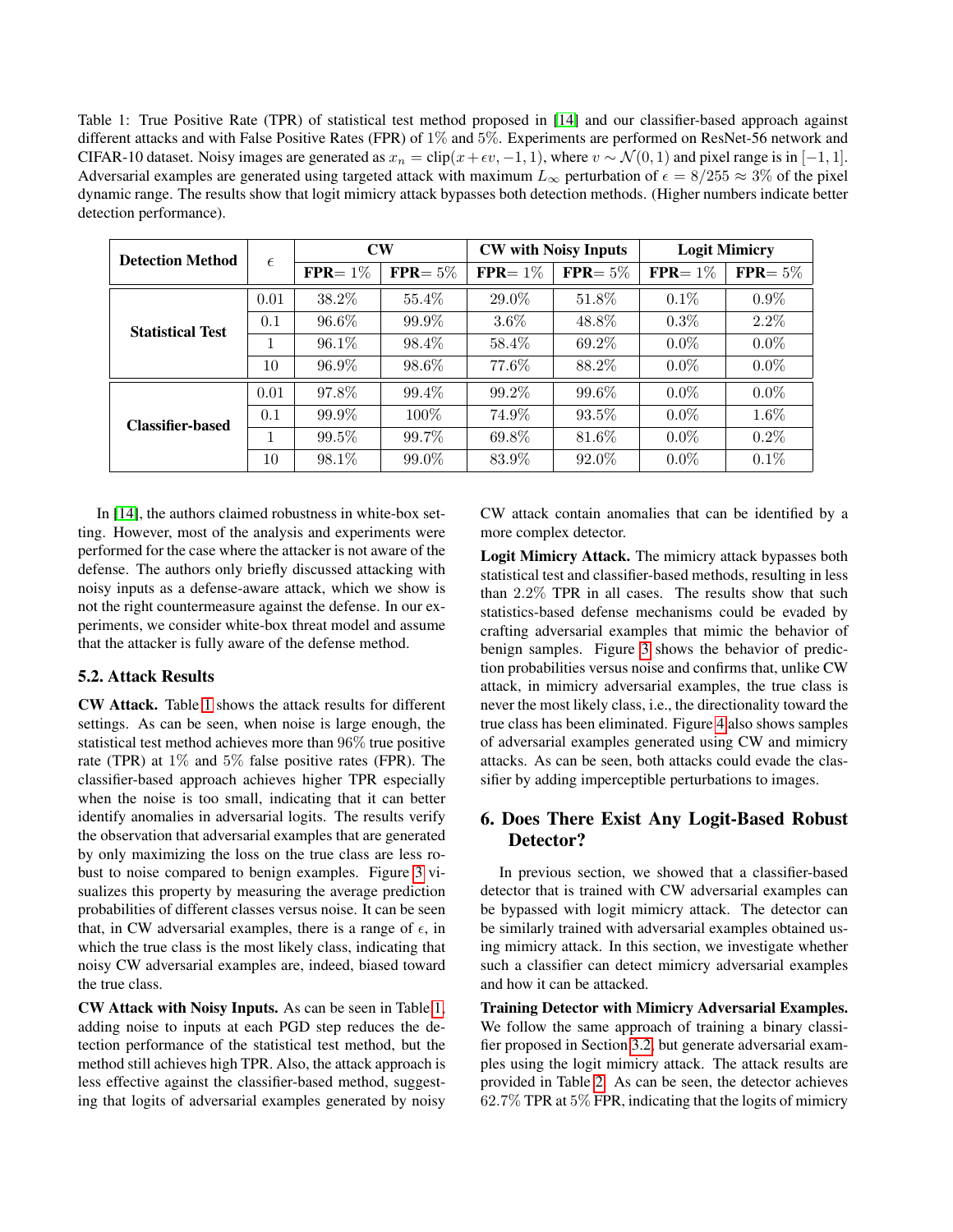<span id="page-4-0"></span>Table 1: True Positive Rate (TPR) of statistical test method proposed in [\[14\]](#page-6-10) and our classifier-based approach against different attacks and with False Positive Rates (FPR) of 1% and 5%. Experiments are performed on ResNet-56 network and CIFAR-10 dataset. Noisy images are generated as  $x_n = \text{clip}(x + \epsilon v, -1, 1)$ , where  $v \sim \mathcal{N}(0, 1)$  and pixel range is in [−1, 1]. Adversarial examples are generated using targeted attack with maximum  $L_{\infty}$  perturbation of  $\epsilon = 8/255 \approx 3\%$  of the pixel dynamic range. The results show that logit mimicry attack bypasses both detection methods. (Higher numbers indicate better detection performance).

| <b>Detection Method</b> | $\epsilon$ | $\mathbf{CW}$ |             | <b>CW</b> with Noisy Inputs |             | <b>Logit Mimicry</b> |             |
|-------------------------|------------|---------------|-------------|-----------------------------|-------------|----------------------|-------------|
|                         |            | $FPR = 1\%$   | $FPR = 5\%$ | $FPR = 1\%$                 | $FPR = 5\%$ | $FPR = 1\%$          | $FPR = 5\%$ |
| <b>Statistical Test</b> | 0.01       | 38.2%         | 55.4%       | 29.0%                       | 51.8%       | $0.1\%$              | $0.9\%$     |
|                         | 0.1        | 96.6%         | 99.9%       | $3.6\%$                     | 48.8%       | $0.3\%$              | $2.2\%$     |
|                         |            | 96.1\%        | 98.4\%      | 58.4\%                      | 69.2%       | $0.0\%$              | $0.0\%$     |
|                         | 10         | 96.9%         | 98.6%       | 77.6%                       | 88.2%       | $0.0\%$              | $0.0\%$     |
| <b>Classifier-based</b> | 0.01       | 97.8%         | 99.4\%      | 99.2%                       | 99.6%       | $0.0\%$              | $0.0\%$     |
|                         | 0.1        | 99.9%         | $100\%$     | 74.9%                       | 93.5%       | $0.0\%$              | $1.6\%$     |
|                         |            | 99.5%         | 99.7%       | 69.8%                       | 81.6%       | $0.0\%$              | $0.2\%$     |
|                         | 10         | 98.1%         | 99.0%       | 83.9%                       | 92.0%       | $0.0\%$              | $0.1\%$     |

In [\[14\]](#page-6-10), the authors claimed robustness in white-box setting. However, most of the analysis and experiments were performed for the case where the attacker is not aware of the defense. The authors only briefly discussed attacking with noisy inputs as a defense-aware attack, which we show is not the right countermeasure against the defense. In our experiments, we consider white-box threat model and assume that the attacker is fully aware of the defense method.

# 5.2. Attack Results

CW Attack. Table [1](#page-4-0) shows the attack results for different settings. As can be seen, when noise is large enough, the statistical test method achieves more than 96% true positive rate (TPR) at 1% and 5% false positive rates (FPR). The classifier-based approach achieves higher TPR especially when the noise is too small, indicating that it can better identify anomalies in adversarial logits. The results verify the observation that adversarial examples that are generated by only maximizing the loss on the true class are less robust to noise compared to benign examples. Figure [3](#page-5-0) visualizes this property by measuring the average prediction probabilities of different classes versus noise. It can be seen that, in CW adversarial examples, there is a range of  $\epsilon$ , in which the true class is the most likely class, indicating that noisy CW adversarial examples are, indeed, biased toward the true class.

CW Attack with Noisy Inputs. As can be seen in Table [1,](#page-4-0) adding noise to inputs at each PGD step reduces the detection performance of the statistical test method, but the method still achieves high TPR. Also, the attack approach is less effective against the classifier-based method, suggesting that logits of adversarial examples generated by noisy CW attack contain anomalies that can be identified by a more complex detector.

Logit Mimicry Attack. The mimicry attack bypasses both statistical test and classifier-based methods, resulting in less than 2.2% TPR in all cases. The results show that such statistics-based defense mechanisms could be evaded by crafting adversarial examples that mimic the behavior of benign samples. Figure [3](#page-5-0) shows the behavior of prediction probabilities versus noise and confirms that, unlike CW attack, in mimicry adversarial examples, the true class is never the most likely class, i.e., the directionality toward the true class has been eliminated. Figure [4](#page-5-1) also shows samples of adversarial examples generated using CW and mimicry attacks. As can be seen, both attacks could evade the classifier by adding imperceptible perturbations to images.

# 6. Does There Exist Any Logit-Based Robust Detector?

In previous section, we showed that a classifier-based detector that is trained with CW adversarial examples can be bypassed with logit mimicry attack. The detector can be similarly trained with adversarial examples obtained using mimicry attack. In this section, we investigate whether such a classifier can detect mimicry adversarial examples and how it can be attacked.

Training Detector with Mimicry Adversarial Examples. We follow the same approach of training a binary classifier proposed in Section [3.2,](#page-2-0) but generate adversarial examples using the logit mimicry attack. The attack results are provided in Table [2.](#page-5-2) As can be seen, the detector achieves 62.7% TPR at 5% FPR, indicating that the logits of mimicry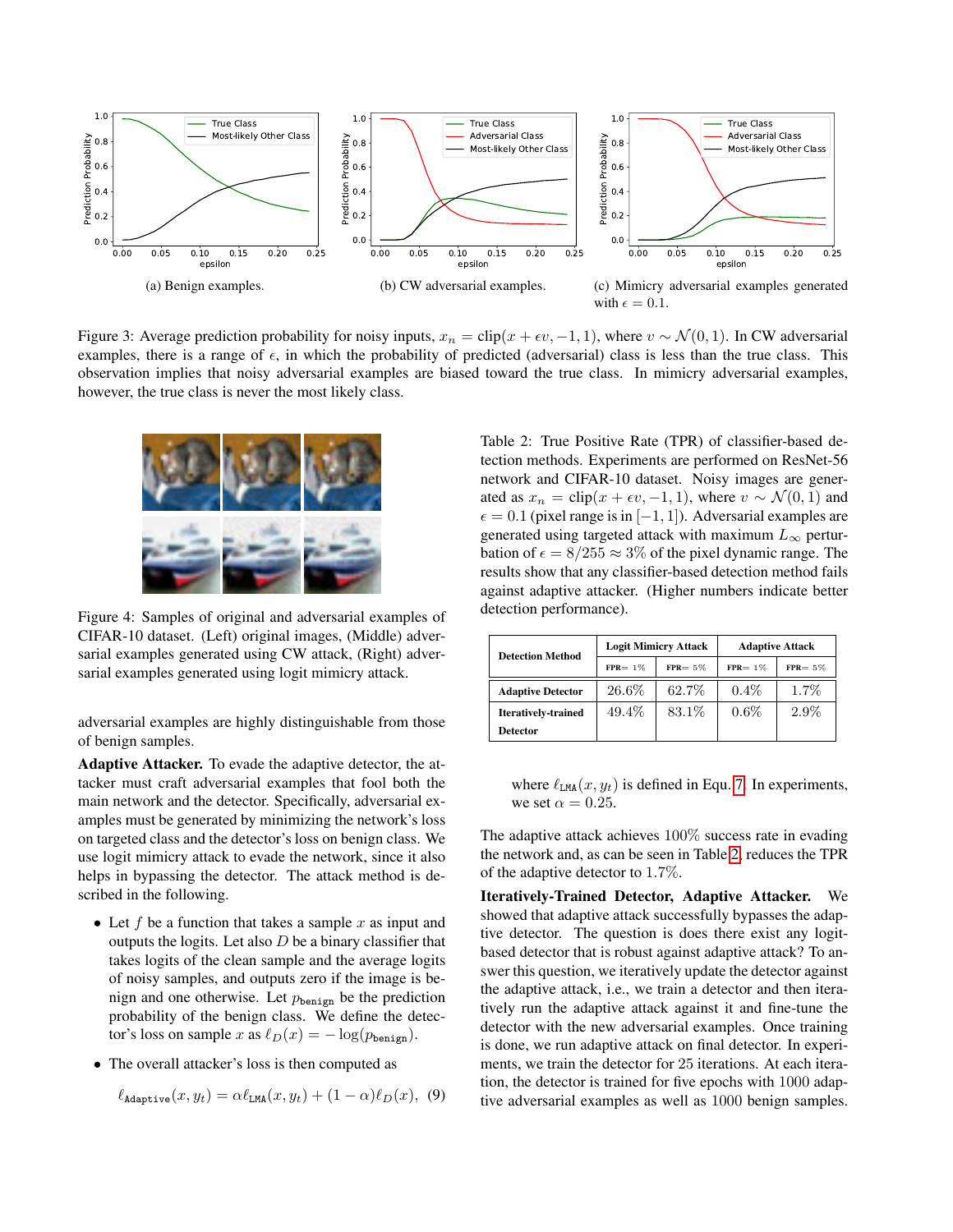<span id="page-5-0"></span>

Figure 3: Average prediction probability for noisy inputs,  $x_n = \text{clip}(x + \epsilon v, -1, 1)$ , where  $v \sim \mathcal{N}(0, 1)$ . In CW adversarial examples, there is a range of  $\epsilon$ , in which the probability of predicted (adversarial) class is less than the true class. This observation implies that noisy adversarial examples are biased toward the true class. In mimicry adversarial examples, however, the true class is never the most likely class.

<span id="page-5-1"></span>

Figure 4: Samples of original and adversarial examples of CIFAR-10 dataset. (Left) original images, (Middle) adversarial examples generated using CW attack, (Right) adversarial examples generated using logit mimicry attack.

adversarial examples are highly distinguishable from those of benign samples.

Adaptive Attacker. To evade the adaptive detector, the attacker must craft adversarial examples that fool both the main network and the detector. Specifically, adversarial examples must be generated by minimizing the network's loss on targeted class and the detector's loss on benign class. We use logit mimicry attack to evade the network, since it also helps in bypassing the detector. The attack method is described in the following.

- Let f be a function that takes a sample x as input and outputs the logits. Let also  $D$  be a binary classifier that takes logits of the clean sample and the average logits of noisy samples, and outputs zero if the image is benign and one otherwise. Let  $p_{\text{benign}}$  be the prediction probability of the benign class. We define the detector's loss on sample x as  $\ell_D(x) = -\log(p_{\text{benign}})$ .
- The overall attacker's loss is then computed as

$$
\ell_{\text{Adaptive}}(x, y_t) = \alpha \ell_{\text{LMA}}(x, y_t) + (1 - \alpha) \ell_D(x), \tag{9}
$$

<span id="page-5-2"></span>Table 2: True Positive Rate (TPR) of classifier-based detection methods. Experiments are performed on ResNet-56 network and CIFAR-10 dataset. Noisy images are generated as  $x_n = \text{clip}(x + \epsilon v, -1, 1)$ , where  $v \sim \mathcal{N}(0, 1)$  and  $\epsilon = 0.1$  (pixel range is in  $[-1, 1]$ ). Adversarial examples are generated using targeted attack with maximum  $L_{\infty}$  perturbation of  $\epsilon = 8/255 \approx 3\%$  of the pixel dynamic range. The results show that any classifier-based detection method fails against adaptive attacker. (Higher numbers indicate better detection performance).

| <b>Detection Method</b>    |             | <b>Logit Mimicry Attack</b> | <b>Adaptive Attack</b> |            |  |
|----------------------------|-------------|-----------------------------|------------------------|------------|--|
|                            | $FPR = 1\%$ | $FPR = 5\%$                 | $FPR = 1\%$            | $FPR = 5%$ |  |
| <b>Adaptive Detector</b>   | 26.6%       | 62.7%                       | $0.4\%$                | $1.7\%$    |  |
| <b>Iteratively-trained</b> | 49.4\%      | 83.1\%                      | $0.6\%$                | $2.9\%$    |  |
| <b>Detector</b>            |             |                             |                        |            |  |

where  $\ell_{LMA}(x, y_t)$  is defined in Equ. [7.](#page-3-1) In experiments, we set  $\alpha = 0.25$ .

The adaptive attack achieves 100% success rate in evading the network and, as can be seen in Table [2,](#page-5-2) reduces the TPR of the adaptive detector to 1.7%.

Iteratively-Trained Detector, Adaptive Attacker. We showed that adaptive attack successfully bypasses the adaptive detector. The question is does there exist any logitbased detector that is robust against adaptive attack? To answer this question, we iteratively update the detector against the adaptive attack, i.e., we train a detector and then iteratively run the adaptive attack against it and fine-tune the detector with the new adversarial examples. Once training is done, we run adaptive attack on final detector. In experiments, we train the detector for 25 iterations. At each iteration, the detector is trained for five epochs with 1000 adaptive adversarial examples as well as 1000 benign samples.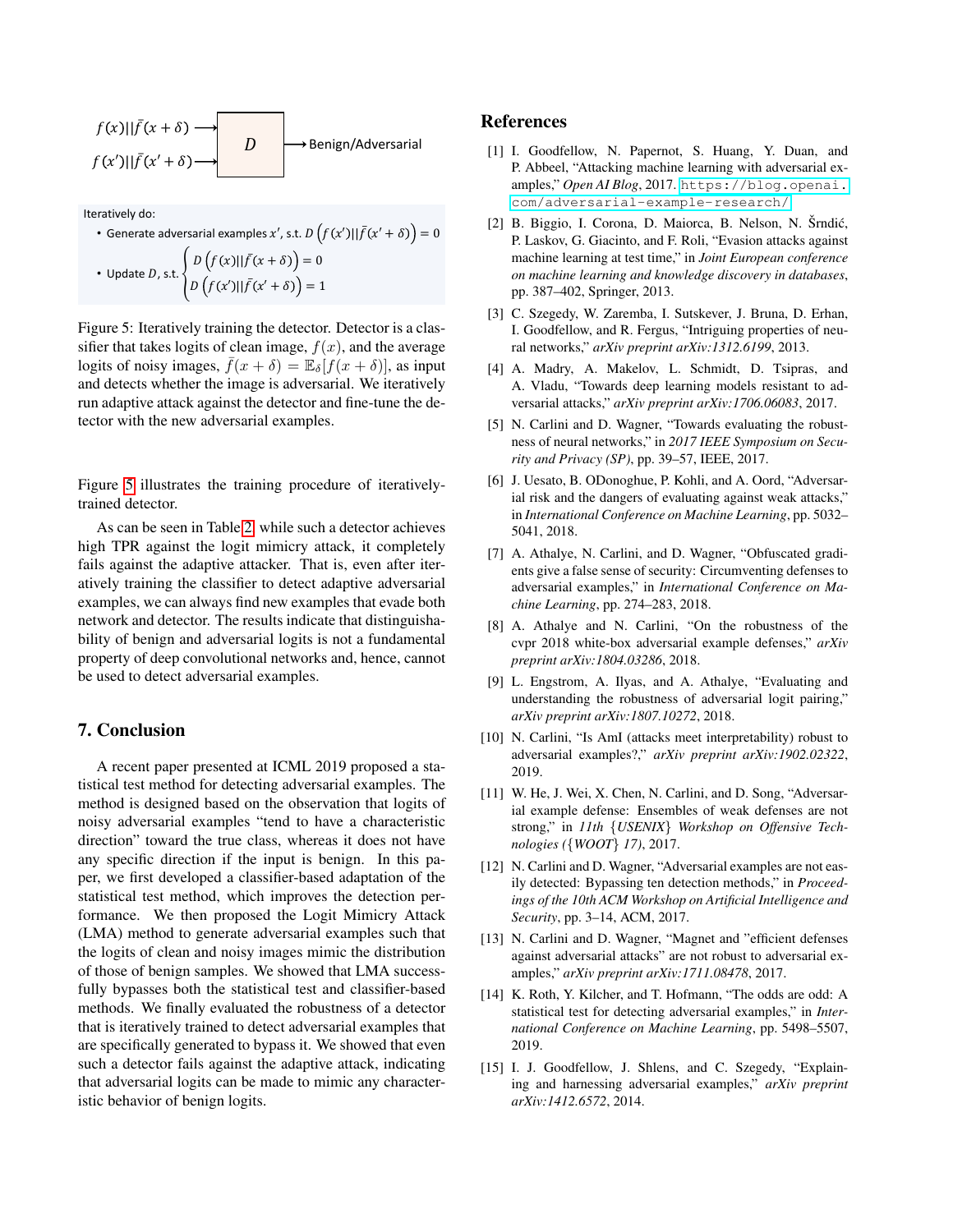<span id="page-6-15"></span>
$$
f(x)||\bar{f}(x+\delta)
$$
  
\n $f(x')||\bar{f}(x'+\delta)$   
\n $D$  Benjamin/Adversarial

Iteratively do:

• Generate adversarial examples x', s.t.  $D\left(f(x')||\bar{f}(x'+\delta)\right)=0$ • Update D, s.t.  $\begin{cases} D\left(f(x)||\bar{f}(x+\delta)\right) = 0 \\ D\left(f(x')||\bar{f}(x'+\delta)\right) = 1 \end{cases}$ 

Figure 5: Iteratively training the detector. Detector is a classifier that takes logits of clean image,  $f(x)$ , and the average logits of noisy images,  $f(x + \delta) = \mathbb{E}_{\delta}[f(x + \delta)]$ , as input and detects whether the image is adversarial. We iteratively run adaptive attack against the detector and fine-tune the detector with the new adversarial examples.

Figure [5](#page-6-15) illustrates the training procedure of iterativelytrained detector.

As can be seen in Table [2,](#page-5-2) while such a detector achieves high TPR against the logit mimicry attack, it completely fails against the adaptive attacker. That is, even after iteratively training the classifier to detect adaptive adversarial examples, we can always find new examples that evade both network and detector. The results indicate that distinguishability of benign and adversarial logits is not a fundamental property of deep convolutional networks and, hence, cannot be used to detect adversarial examples.

# 7. Conclusion

A recent paper presented at ICML 2019 proposed a statistical test method for detecting adversarial examples. The method is designed based on the observation that logits of noisy adversarial examples "tend to have a characteristic direction" toward the true class, whereas it does not have any specific direction if the input is benign. In this paper, we first developed a classifier-based adaptation of the statistical test method, which improves the detection performance. We then proposed the Logit Mimicry Attack (LMA) method to generate adversarial examples such that the logits of clean and noisy images mimic the distribution of those of benign samples. We showed that LMA successfully bypasses both the statistical test and classifier-based methods. We finally evaluated the robustness of a detector that is iteratively trained to detect adversarial examples that are specifically generated to bypass it. We showed that even such a detector fails against the adaptive attack, indicating that adversarial logits can be made to mimic any characteristic behavior of benign logits.

#### References

- <span id="page-6-0"></span>[1] I. Goodfellow, N. Papernot, S. Huang, Y. Duan, and P. Abbeel, "Attacking machine learning with adversarial examples," *Open AI Blog*, 2017. [https://blog.openai.](https://blog.openai.com/adversarial-example-research/) [com/adversarial-example-research/](https://blog.openai.com/adversarial-example-research/).
- <span id="page-6-1"></span>[2] B. Biggio, I. Corona, D. Maiorca, B. Nelson, N. Šrndić, P. Laskov, G. Giacinto, and F. Roli, "Evasion attacks against machine learning at test time," in *Joint European conference on machine learning and knowledge discovery in databases*, pp. 387–402, Springer, 2013.
- <span id="page-6-2"></span>[3] C. Szegedy, W. Zaremba, I. Sutskever, J. Bruna, D. Erhan, I. Goodfellow, and R. Fergus, "Intriguing properties of neural networks," *arXiv preprint arXiv:1312.6199*, 2013.
- <span id="page-6-3"></span>[4] A. Madry, A. Makelov, L. Schmidt, D. Tsipras, and A. Vladu, "Towards deep learning models resistant to adversarial attacks," *arXiv preprint arXiv:1706.06083*, 2017.
- <span id="page-6-4"></span>[5] N. Carlini and D. Wagner, "Towards evaluating the robustness of neural networks," in *2017 IEEE Symposium on Security and Privacy (SP)*, pp. 39–57, IEEE, 2017.
- <span id="page-6-5"></span>[6] J. Uesato, B. ODonoghue, P. Kohli, and A. Oord, "Adversarial risk and the dangers of evaluating against weak attacks," in *International Conference on Machine Learning*, pp. 5032– 5041, 2018.
- <span id="page-6-6"></span>[7] A. Athalye, N. Carlini, and D. Wagner, "Obfuscated gradients give a false sense of security: Circumventing defenses to adversarial examples," in *International Conference on Machine Learning*, pp. 274–283, 2018.
- <span id="page-6-7"></span>[8] A. Athalye and N. Carlini, "On the robustness of the cvpr 2018 white-box adversarial example defenses," *arXiv preprint arXiv:1804.03286*, 2018.
- <span id="page-6-8"></span>[9] L. Engstrom, A. Ilyas, and A. Athalye, "Evaluating and understanding the robustness of adversarial logit pairing," *arXiv preprint arXiv:1807.10272*, 2018.
- <span id="page-6-9"></span>[10] N. Carlini, "Is AmI (attacks meet interpretability) robust to adversarial examples?," *arXiv preprint arXiv:1902.02322*, 2019.
- <span id="page-6-11"></span>[11] W. He, J. Wei, X. Chen, N. Carlini, and D. Song, "Adversarial example defense: Ensembles of weak defenses are not strong," in *11th* {*USENIX*} *Workshop on Offensive Technologies (*{*WOOT*} *17)*, 2017.
- <span id="page-6-12"></span>[12] N. Carlini and D. Wagner, "Adversarial examples are not easily detected: Bypassing ten detection methods," in *Proceedings of the 10th ACM Workshop on Artificial Intelligence and Security*, pp. 3–14, ACM, 2017.
- <span id="page-6-13"></span>[13] N. Carlini and D. Wagner, "Magnet and "efficient defenses against adversarial attacks" are not robust to adversarial examples," *arXiv preprint arXiv:1711.08478*, 2017.
- <span id="page-6-10"></span>[14] K. Roth, Y. Kilcher, and T. Hofmann, "The odds are odd: A statistical test for detecting adversarial examples," in *International Conference on Machine Learning*, pp. 5498–5507, 2019.
- <span id="page-6-14"></span>[15] I. J. Goodfellow, J. Shlens, and C. Szegedy, "Explaining and harnessing adversarial examples," *arXiv preprint arXiv:1412.6572*, 2014.